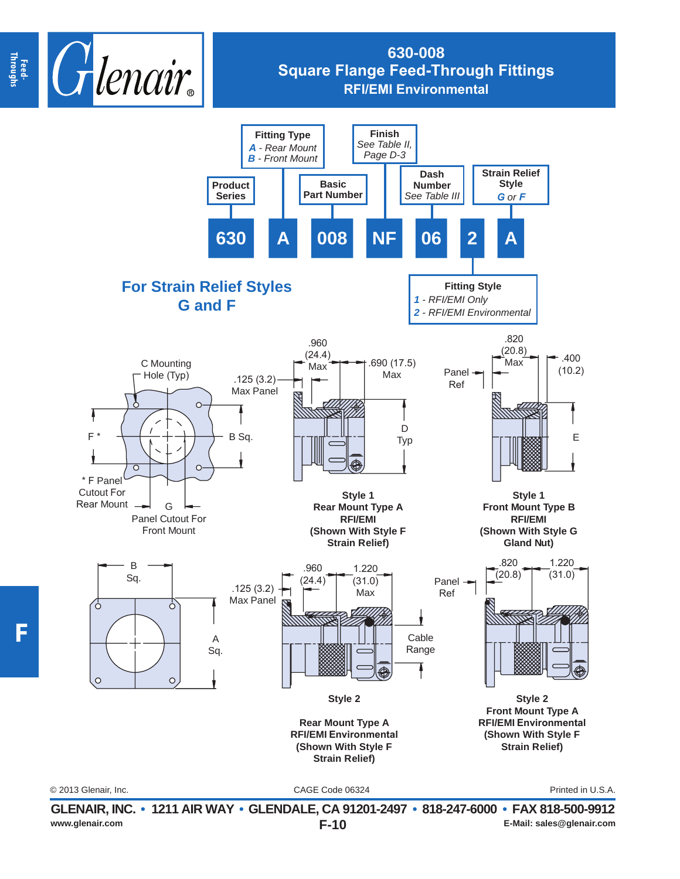

## **630-008 Square Flange Feed-Through Fittings RFI/EMI Environmental**



**F-10 GLENAIR, INC. • 1211 AIR WAY • GLENDALE, CA 91201-2497 • 818-247-6000 • FAX 818-500-9912 www.glenair.com E-Mail: sales@glenair.com**